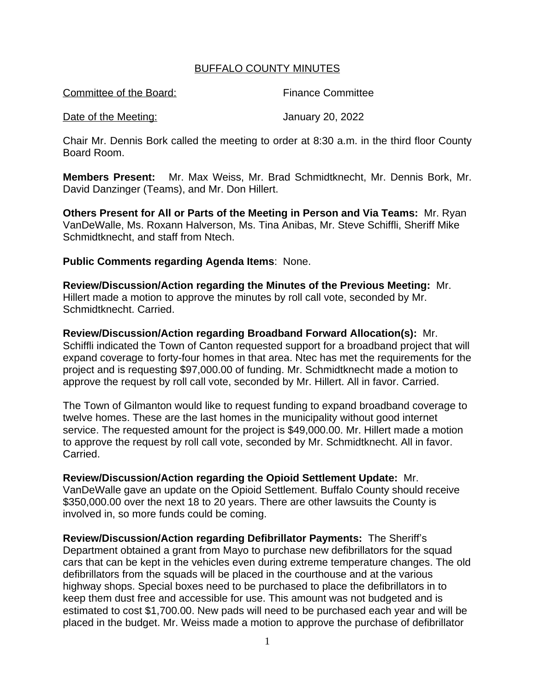## BUFFALO COUNTY MINUTES

Committee of the Board: Finance Committee

Date of the Meeting: January 20, 2022

Chair Mr. Dennis Bork called the meeting to order at 8:30 a.m. in the third floor County Board Room.

**Members Present:** Mr. Max Weiss, Mr. Brad Schmidtknecht, Mr. Dennis Bork, Mr. David Danzinger (Teams), and Mr. Don Hillert.

**Others Present for All or Parts of the Meeting in Person and Via Teams:** Mr. Ryan VanDeWalle, Ms. Roxann Halverson, Ms. Tina Anibas, Mr. Steve Schiffli, Sheriff Mike Schmidtknecht, and staff from Ntech.

## **Public Comments regarding Agenda Items**: None.

**Review/Discussion/Action regarding the Minutes of the Previous Meeting:** Mr. Hillert made a motion to approve the minutes by roll call vote, seconded by Mr. Schmidtknecht. Carried.

**Review/Discussion/Action regarding Broadband Forward Allocation(s):** Mr. Schiffli indicated the Town of Canton requested support for a broadband project that will expand coverage to forty-four homes in that area. Ntec has met the requirements for the project and is requesting \$97,000.00 of funding. Mr. Schmidtknecht made a motion to approve the request by roll call vote, seconded by Mr. Hillert. All in favor. Carried.

The Town of Gilmanton would like to request funding to expand broadband coverage to twelve homes. These are the last homes in the municipality without good internet service. The requested amount for the project is \$49,000.00. Mr. Hillert made a motion to approve the request by roll call vote, seconded by Mr. Schmidtknecht. All in favor. Carried.

**Review/Discussion/Action regarding the Opioid Settlement Update:** Mr. VanDeWalle gave an update on the Opioid Settlement. Buffalo County should receive \$350,000.00 over the next 18 to 20 years. There are other lawsuits the County is involved in, so more funds could be coming.

**Review/Discussion/Action regarding Defibrillator Payments:** The Sheriff's Department obtained a grant from Mayo to purchase new defibrillators for the squad cars that can be kept in the vehicles even during extreme temperature changes. The old defibrillators from the squads will be placed in the courthouse and at the various highway shops. Special boxes need to be purchased to place the defibrillators in to keep them dust free and accessible for use. This amount was not budgeted and is estimated to cost \$1,700.00. New pads will need to be purchased each year and will be placed in the budget. Mr. Weiss made a motion to approve the purchase of defibrillator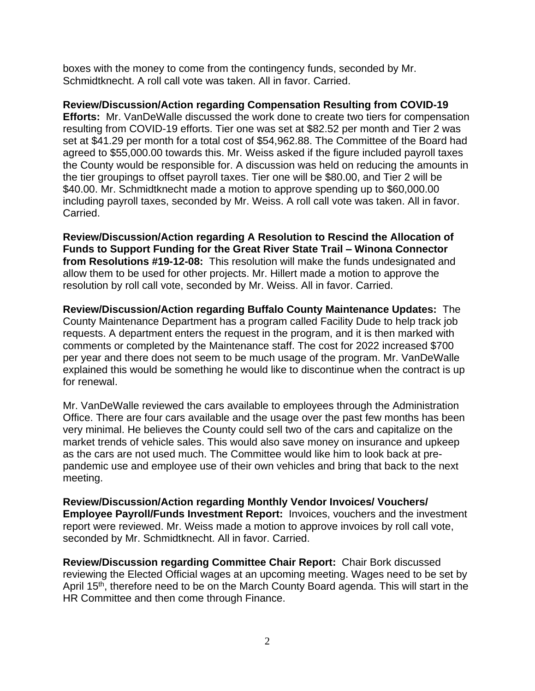boxes with the money to come from the contingency funds, seconded by Mr. Schmidtknecht. A roll call vote was taken. All in favor. Carried.

**Review/Discussion/Action regarding Compensation Resulting from COVID-19** 

**Efforts:** Mr. VanDeWalle discussed the work done to create two tiers for compensation resulting from COVID-19 efforts. Tier one was set at \$82.52 per month and Tier 2 was set at \$41.29 per month for a total cost of \$54,962.88. The Committee of the Board had agreed to \$55,000.00 towards this. Mr. Weiss asked if the figure included payroll taxes the County would be responsible for. A discussion was held on reducing the amounts in the tier groupings to offset payroll taxes. Tier one will be \$80.00, and Tier 2 will be \$40.00. Mr. Schmidtknecht made a motion to approve spending up to \$60,000.00 including payroll taxes, seconded by Mr. Weiss. A roll call vote was taken. All in favor. Carried.

**Review/Discussion/Action regarding A Resolution to Rescind the Allocation of Funds to Support Funding for the Great River State Trail – Winona Connector from Resolutions #19-12-08:** This resolution will make the funds undesignated and allow them to be used for other projects. Mr. Hillert made a motion to approve the resolution by roll call vote, seconded by Mr. Weiss. All in favor. Carried.

**Review/Discussion/Action regarding Buffalo County Maintenance Updates:** The County Maintenance Department has a program called Facility Dude to help track job requests. A department enters the request in the program, and it is then marked with comments or completed by the Maintenance staff. The cost for 2022 increased \$700 per year and there does not seem to be much usage of the program. Mr. VanDeWalle explained this would be something he would like to discontinue when the contract is up for renewal.

Mr. VanDeWalle reviewed the cars available to employees through the Administration Office. There are four cars available and the usage over the past few months has been very minimal. He believes the County could sell two of the cars and capitalize on the market trends of vehicle sales. This would also save money on insurance and upkeep as the cars are not used much. The Committee would like him to look back at prepandemic use and employee use of their own vehicles and bring that back to the next meeting.

**Review/Discussion/Action regarding Monthly Vendor Invoices/ Vouchers/ Employee Payroll/Funds Investment Report:** Invoices, vouchers and the investment report were reviewed. Mr. Weiss made a motion to approve invoices by roll call vote, seconded by Mr. Schmidtknecht. All in favor. Carried.

**Review/Discussion regarding Committee Chair Report:** Chair Bork discussed reviewing the Elected Official wages at an upcoming meeting. Wages need to be set by April 15th, therefore need to be on the March County Board agenda. This will start in the HR Committee and then come through Finance.